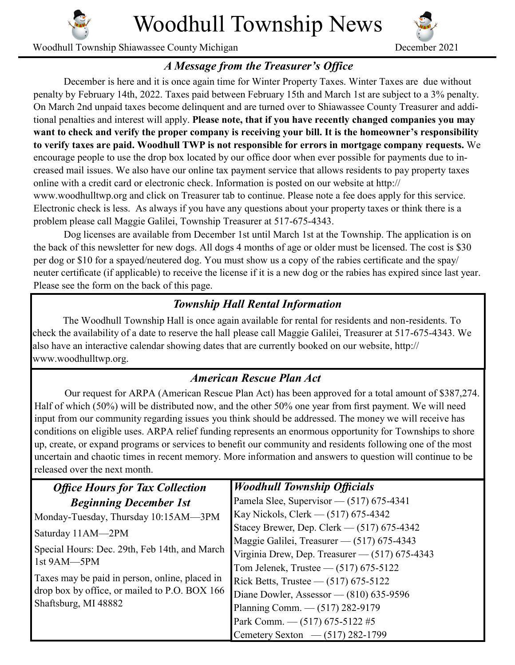

Woodhull Township News

Woodhull Township Shiawassee County Michigan December 2021



## *A Message from the Treasurer's Office*

December is here and it is once again time for Winter Property Taxes. Winter Taxes are due without penalty by February 14th, 2022. Taxes paid between February 15th and March 1st are subject to a 3% penalty. On March 2nd unpaid taxes become delinquent and are turned over to Shiawassee County Treasurer and additional penalties and interest will apply. **Please note, that if you have recently changed companies you may want to check and verify the proper company is receiving your bill. It is the homeowner's responsibility to verify taxes are paid. Woodhull TWP is not responsible for errors in mortgage company requests.** We encourage people to use the drop box located by our office door when ever possible for payments due to increased mail issues. We also have our online tax payment service that allows residents to pay property taxes online with a credit card or electronic check. Information is posted on our website at http:// www.woodhulltwp.org and click on Treasurer tab to continue. Please note a fee does apply for this service. Electronic check is less. As always if you have any questions about your property taxes or think there is a problem please call Maggie Galilei, Township Treasurer at 517-675-4343.

Dog licenses are available from December 1st until March 1st at the Township. The application is on the back of this newsletter for new dogs. All dogs 4 months of age or older must be licensed. The cost is \$30 per dog or \$10 for a spayed/neutered dog. You must show us a copy of the rabies certificate and the spay/ neuter certificate (if applicable) to receive the license if it is a new dog or the rabies has expired since last year. Please see the form on the back of this page.

## *Township Hall Rental Information*

The Woodhull Township Hall is once again available for rental for residents and non-residents. To check the availability of a date to reserve the hall please call Maggie Galilei, Treasurer at 517-675-4343. We also have an interactive calendar showing dates that are currently booked on our website, http:// www.woodhulltwp.org.

## *American Rescue Plan Act*

Our request for ARPA (American Rescue Plan Act) has been approved for a total amount of \$387,274. Half of which (50%) will be distributed now, and the other 50% one year from first payment. We will need input from our community regarding issues you think should be addressed. The money we will receive has conditions on eligible uses. ARPA relief funding represents an enormous opportunity for Townships to shore up, create, or expand programs or services to benefit our community and residents following one of the most uncertain and chaotic times in recent memory. More information and answers to question will continue to be released over the next month.

| <b>Office Hours for Tax Collection</b>         | <b>Woodhull Township Officials</b>             |
|------------------------------------------------|------------------------------------------------|
| <b>Beginning December 1st</b>                  | Pamela Slee, Supervisor - (517) 675-4341       |
| Monday-Tuesday, Thursday 10:15AM-3PM           | Kay Nickols, Clerk — (517) 675-4342            |
| Saturday 11AM-2PM                              | Stacey Brewer, Dep. Clerk $-$ (517) 675-4342   |
|                                                | Maggie Galilei, Treasurer - (517) 675-4343     |
| Special Hours: Dec. 29th, Feb 14th, and March  | Virginia Drew, Dep. Treasurer - (517) 675-4343 |
| 1st 9AM-5PM                                    | Tom Jelenek, Trustee — (517) 675-5122          |
| Taxes may be paid in person, online, placed in | Rick Betts, Trustee — $(517)$ 675-5122         |
| drop box by office, or mailed to P.O. BOX 166  | Diane Dowler, Assessor — (810) 635-9596        |
| Shaftsburg, MI 48882                           | Planning Comm. - (517) 282-9179                |
|                                                | Park Comm. - (517) 675-5122 #5                 |
|                                                | Cemetery Sexton — $(517)$ 282-1799             |